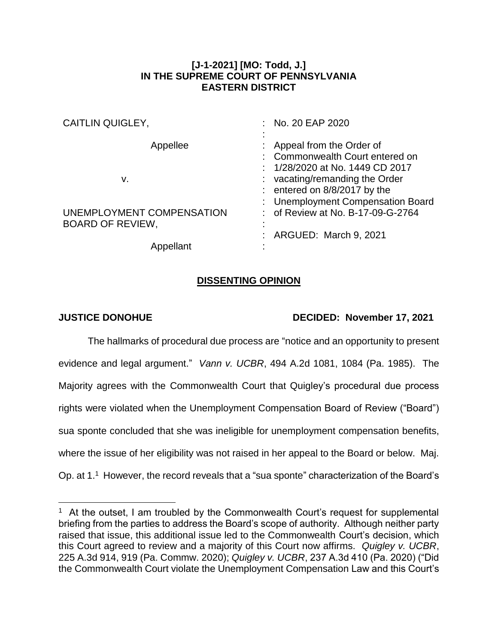## **[J-1-2021] [MO: Todd, J.] IN THE SUPREME COURT OF PENNSYLVANIA EASTERN DISTRICT**

| : No. 20 EAP 2020                 |
|-----------------------------------|
|                                   |
| Appeal from the Order of          |
| Commonwealth Court entered on     |
| : 1/28/2020 at No. 1449 CD 2017   |
| $:$ vacating/remanding the Order  |
| : entered on $8/8/2017$ by the    |
| : Unemployment Compensation Board |
| : of Review at No. B-17-09-G-2764 |
|                                   |
| : ARGUED: March 9, 2021           |
|                                   |
|                                   |

## **DISSENTING OPINION**

 $\overline{a}$ 

## **JUSTICE DONOHUE DECIDED: November 17, 2021**

The hallmarks of procedural due process are "notice and an opportunity to present evidence and legal argument." *Vann v. UCBR*, 494 A.2d 1081, 1084 (Pa. 1985). The Majority agrees with the Commonwealth Court that Quigley's procedural due process rights were violated when the Unemployment Compensation Board of Review ("Board") sua sponte concluded that she was ineligible for unemployment compensation benefits, where the issue of her eligibility was not raised in her appeal to the Board or below. Maj. Op. at 1.<sup>1</sup> However, the record reveals that a "sua sponte" characterization of the Board's

<sup>&</sup>lt;sup>1</sup> At the outset, I am troubled by the Commonwealth Court's request for supplemental briefing from the parties to address the Board's scope of authority. Although neither party raised that issue, this additional issue led to the Commonwealth Court's decision, which this Court agreed to review and a majority of this Court now affirms. *Quigley v. UCBR*, 225 A.3d 914, 919 (Pa. Commw. 2020); *Quigley v. UCBR*, 237 A.3d 410 (Pa. 2020) ("Did the Commonwealth Court violate the Unemployment Compensation Law and this Court's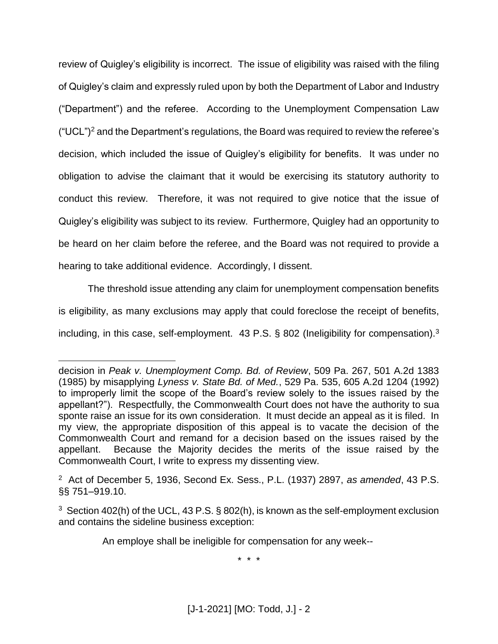review of Quigley's eligibility is incorrect. The issue of eligibility was raised with the filing of Quigley's claim and expressly ruled upon by both the Department of Labor and Industry ("Department") and the referee. According to the Unemployment Compensation Law  $("UCL")^2$  and the Department's regulations, the Board was required to review the referee's decision, which included the issue of Quigley's eligibility for benefits. It was under no obligation to advise the claimant that it would be exercising its statutory authority to conduct this review. Therefore, it was not required to give notice that the issue of Quigley's eligibility was subject to its review. Furthermore, Quigley had an opportunity to be heard on her claim before the referee, and the Board was not required to provide a hearing to take additional evidence. Accordingly, I dissent.

The threshold issue attending any claim for unemployment compensation benefits is eligibility, as many exclusions may apply that could foreclose the receipt of benefits, including, in this case, self-employment. 43 P.S. § 802 (Ineligibility for compensation).<sup>3</sup>

 $\overline{a}$ 

An employe shall be ineligible for compensation for any week--

\* \* \*

decision in *Peak v. Unemployment Comp. Bd. of Review*, 509 Pa. 267, 501 A.2d 1383 (1985) by misapplying *Lyness v. State Bd. of Med.*, 529 Pa. 535, 605 A.2d 1204 (1992) to improperly limit the scope of the Board's review solely to the issues raised by the appellant?"). Respectfully, the Commonwealth Court does not have the authority to sua sponte raise an issue for its own consideration. It must decide an appeal as it is filed. In my view, the appropriate disposition of this appeal is to vacate the decision of the Commonwealth Court and remand for a decision based on the issues raised by the appellant. Because the Majority decides the merits of the issue raised by the Commonwealth Court, I write to express my dissenting view.

<sup>2</sup> Act of December 5, 1936, Second Ex. Sess., P.L. (1937) 2897, *as amended*, 43 P.S. §§ 751–919.10.

<sup>&</sup>lt;sup>3</sup> Section 402(h) of the UCL, 43 P.S.  $\S$  802(h), is known as the self-employment exclusion and contains the sideline business exception: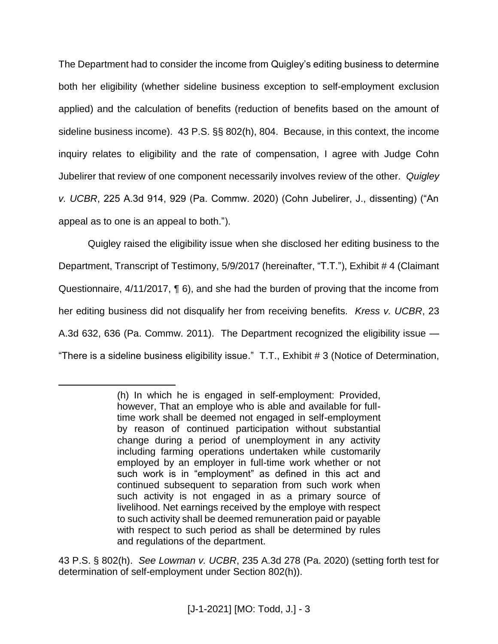The Department had to consider the income from Quigley's editing business to determine both her eligibility (whether sideline business exception to self-employment exclusion applied) and the calculation of benefits (reduction of benefits based on the amount of sideline business income). 43 P.S. §§ 802(h), 804. Because, in this context, the income inquiry relates to eligibility and the rate of compensation, I agree with Judge Cohn Jubelirer that review of one component necessarily involves review of the other. *Quigley v. UCBR*, 225 A.3d 914, 929 (Pa. Commw. 2020) (Cohn Jubelirer, J., dissenting) ("An appeal as to one is an appeal to both.").

Quigley raised the eligibility issue when she disclosed her editing business to the Department, Transcript of Testimony, 5/9/2017 (hereinafter, "T.T."), Exhibit # 4 (Claimant Questionnaire, 4/11/2017, ¶ 6), and she had the burden of proving that the income from her editing business did not disqualify her from receiving benefits. *Kress v. UCBR*, 23 A.3d 632, 636 (Pa. Commw. 2011). The Department recognized the eligibility issue — "There is a sideline business eligibility issue." T.T., Exhibit # 3 (Notice of Determination,

 $\overline{a}$ 

43 P.S. § 802(h). *See Lowman v. UCBR*, 235 A.3d 278 (Pa. 2020) (setting forth test for determination of self-employment under Section 802(h)).

<sup>(</sup>h) In which he is engaged in self-employment: Provided, however, That an employe who is able and available for fulltime work shall be deemed not engaged in self-employment by reason of continued participation without substantial change during a period of unemployment in any activity including farming operations undertaken while customarily employed by an employer in full-time work whether or not such work is in "employment" as defined in this act and continued subsequent to separation from such work when such activity is not engaged in as a primary source of livelihood. Net earnings received by the employe with respect to such activity shall be deemed remuneration paid or payable with respect to such period as shall be determined by rules and regulations of the department.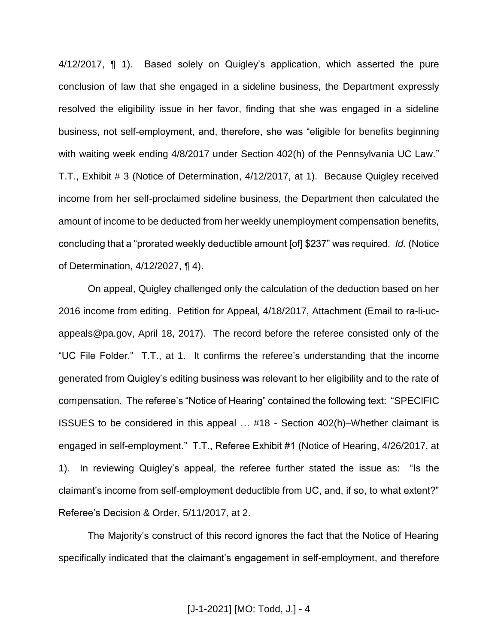4/12/2017, ¶ 1). Based solely on Quigley's application, which asserted the pure conclusion of law that she engaged in a sideline business, the Department expressly resolved the eligibility issue in her favor, finding that she was engaged in a sideline business, not self-employment, and, therefore, she was "eligible for benefits beginning with waiting week ending 4/8/2017 under Section 402(h) of the Pennsylvania UC Law." T.T., Exhibit # 3 (Notice of Determination, 4/12/2017, at 1). Because Quigley received income from her self-proclaimed sideline business, the Department then calculated the amount of income to be deducted from her weekly unemployment compensation benefits, concluding that a "prorated weekly deductible amount [of] \$237" was required. *Id.* (Notice of Determination, 4/12/2027, ¶ 4).

On appeal, Quigley challenged only the calculation of the deduction based on her 2016 income from editing. Petition for Appeal, 4/18/2017, Attachment (Email to ra-li-ucappeals@pa.gov, April 18, 2017). The record before the referee consisted only of the "UC File Folder." T.T., at 1. It confirms the referee's understanding that the income generated from Quigley's editing business was relevant to her eligibility and to the rate of compensation. The referee's "Notice of Hearing" contained the following text: "SPECIFIC ISSUES to be considered in this appeal … #18 - Section 402(h)–Whether claimant is engaged in self-employment." T.T., Referee Exhibit #1 (Notice of Hearing, 4/26/2017, at 1). In reviewing Quigley's appeal, the referee further stated the issue as: "Is the claimant's income from self-employment deductible from UC, and, if so, to what extent?" Referee's Decision & Order, 5/11/2017, at 2.

The Majority's construct of this record ignores the fact that the Notice of Hearing specifically indicated that the claimant's engagement in self-employment, and therefore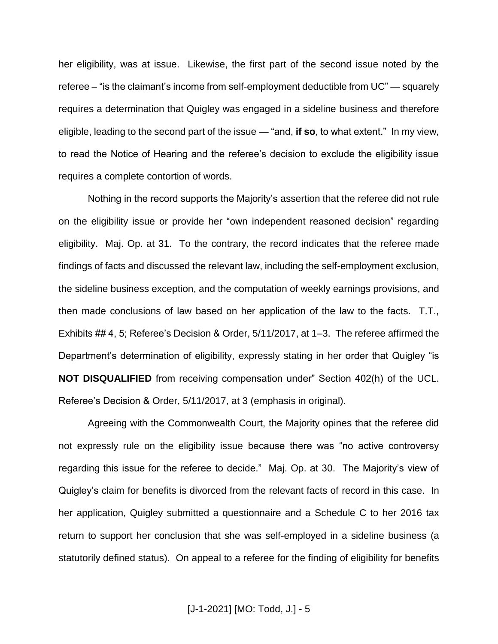her eligibility, was at issue. Likewise, the first part of the second issue noted by the referee – "is the claimant's income from self-employment deductible from UC" — squarely requires a determination that Quigley was engaged in a sideline business and therefore eligible, leading to the second part of the issue — "and, **if so**, to what extent." In my view, to read the Notice of Hearing and the referee's decision to exclude the eligibility issue requires a complete contortion of words.

Nothing in the record supports the Majority's assertion that the referee did not rule on the eligibility issue or provide her "own independent reasoned decision" regarding eligibility. Maj. Op. at 31. To the contrary, the record indicates that the referee made findings of facts and discussed the relevant law, including the self-employment exclusion, the sideline business exception, and the computation of weekly earnings provisions, and then made conclusions of law based on her application of the law to the facts. T.T., Exhibits ## 4, 5; Referee's Decision & Order, 5/11/2017, at 1–3. The referee affirmed the Department's determination of eligibility, expressly stating in her order that Quigley "is **NOT DISQUALIFIED** from receiving compensation under" Section 402(h) of the UCL. Referee's Decision & Order, 5/11/2017, at 3 (emphasis in original).

Agreeing with the Commonwealth Court, the Majority opines that the referee did not expressly rule on the eligibility issue because there was "no active controversy regarding this issue for the referee to decide." Maj. Op. at 30. The Majority's view of Quigley's claim for benefits is divorced from the relevant facts of record in this case. In her application, Quigley submitted a questionnaire and a Schedule C to her 2016 tax return to support her conclusion that she was self-employed in a sideline business (a statutorily defined status). On appeal to a referee for the finding of eligibility for benefits

[J-1-2021] [MO: Todd, J.] - 5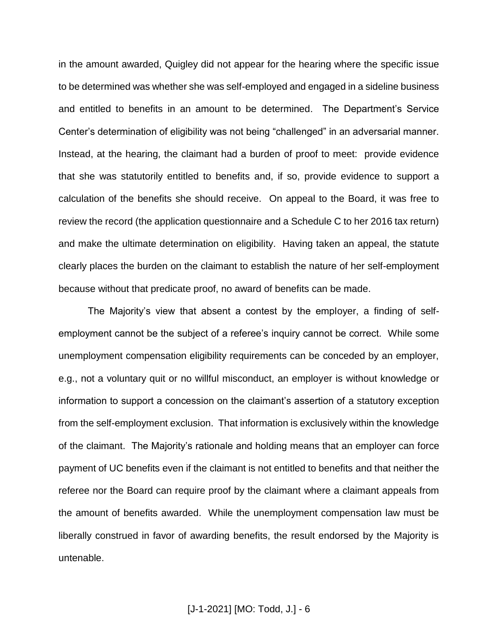in the amount awarded, Quigley did not appear for the hearing where the specific issue to be determined was whether she was self-employed and engaged in a sideline business and entitled to benefits in an amount to be determined. The Department's Service Center's determination of eligibility was not being "challenged" in an adversarial manner. Instead, at the hearing, the claimant had a burden of proof to meet: provide evidence that she was statutorily entitled to benefits and, if so, provide evidence to support a calculation of the benefits she should receive. On appeal to the Board, it was free to review the record (the application questionnaire and a Schedule C to her 2016 tax return) and make the ultimate determination on eligibility. Having taken an appeal, the statute clearly places the burden on the claimant to establish the nature of her self-employment because without that predicate proof, no award of benefits can be made.

The Majority's view that absent a contest by the employer, a finding of selfemployment cannot be the subject of a referee's inquiry cannot be correct. While some unemployment compensation eligibility requirements can be conceded by an employer, e.g., not a voluntary quit or no willful misconduct, an employer is without knowledge or information to support a concession on the claimant's assertion of a statutory exception from the self-employment exclusion. That information is exclusively within the knowledge of the claimant. The Majority's rationale and holding means that an employer can force payment of UC benefits even if the claimant is not entitled to benefits and that neither the referee nor the Board can require proof by the claimant where a claimant appeals from the amount of benefits awarded. While the unemployment compensation law must be liberally construed in favor of awarding benefits, the result endorsed by the Majority is untenable.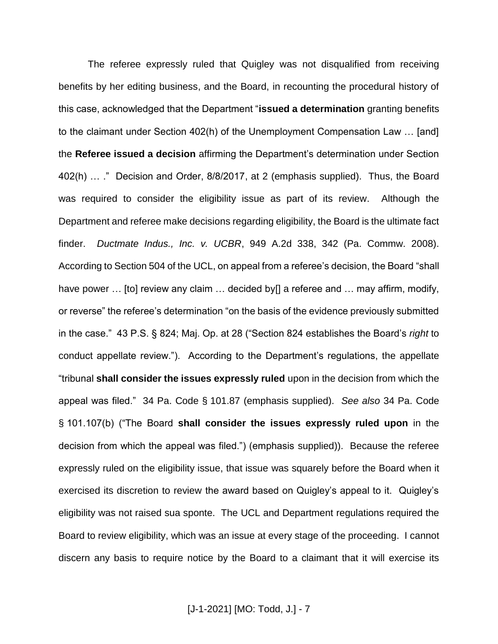The referee expressly ruled that Quigley was not disqualified from receiving benefits by her editing business, and the Board, in recounting the procedural history of this case, acknowledged that the Department "**issued a determination** granting benefits to the claimant under Section 402(h) of the Unemployment Compensation Law … [and] the **Referee issued a decision** affirming the Department's determination under Section 402(h) … ." Decision and Order, 8/8/2017, at 2 (emphasis supplied). Thus, the Board was required to consider the eligibility issue as part of its review. Although the Department and referee make decisions regarding eligibility, the Board is the ultimate fact finder. *Ductmate Indus., Inc. v. UCBR*, 949 A.2d 338, 342 (Pa. Commw. 2008). According to Section 504 of the UCL, on appeal from a referee's decision, the Board "shall have power ... [to] review any claim ... decided by[] a referee and ... may affirm, modify, or reverse" the referee's determination "on the basis of the evidence previously submitted in the case." 43 P.S. § 824; Maj. Op. at 28 ("Section 824 establishes the Board's *right* to conduct appellate review."). According to the Department's regulations, the appellate "tribunal **shall consider the issues expressly ruled** upon in the decision from which the appeal was filed." 34 Pa. Code § 101.87 (emphasis supplied). *See also* 34 Pa. Code § 101.107(b) ("The Board **shall consider the issues expressly ruled upon** in the decision from which the appeal was filed.") (emphasis supplied)). Because the referee expressly ruled on the eligibility issue, that issue was squarely before the Board when it exercised its discretion to review the award based on Quigley's appeal to it. Quigley's eligibility was not raised sua sponte. The UCL and Department regulations required the Board to review eligibility, which was an issue at every stage of the proceeding. I cannot discern any basis to require notice by the Board to a claimant that it will exercise its

[J-1-2021] [MO: Todd, J.] - 7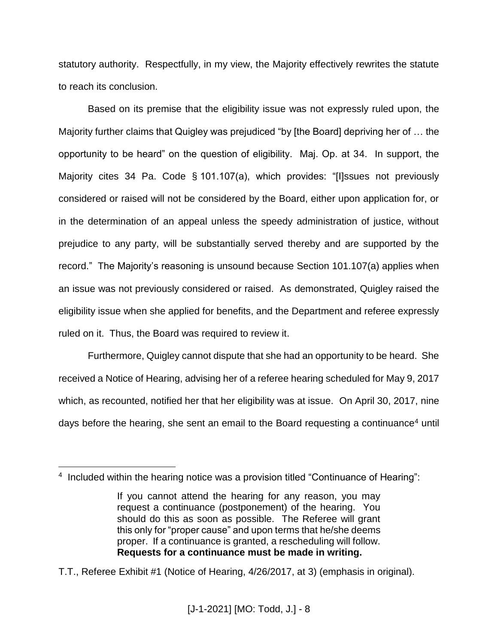statutory authority. Respectfully, in my view, the Majority effectively rewrites the statute to reach its conclusion.

Based on its premise that the eligibility issue was not expressly ruled upon, the Majority further claims that Quigley was prejudiced "by [the Board] depriving her of … the opportunity to be heard" on the question of eligibility. Maj. Op. at 34. In support, the Majority cites 34 Pa. Code § 101.107(a), which provides: "[I]ssues not previously considered or raised will not be considered by the Board, either upon application for, or in the determination of an appeal unless the speedy administration of justice, without prejudice to any party, will be substantially served thereby and are supported by the record." The Majority's reasoning is unsound because Section 101.107(a) applies when an issue was not previously considered or raised. As demonstrated, Quigley raised the eligibility issue when she applied for benefits, and the Department and referee expressly ruled on it. Thus, the Board was required to review it.

Furthermore, Quigley cannot dispute that she had an opportunity to be heard. She received a Notice of Hearing, advising her of a referee hearing scheduled for May 9, 2017 which, as recounted, notified her that her eligibility was at issue. On April 30, 2017, nine days before the hearing, she sent an email to the Board requesting a continuance<sup>4</sup> until

 $\overline{a}$ 

T.T., Referee Exhibit #1 (Notice of Hearing, 4/26/2017, at 3) (emphasis in original).

<sup>&</sup>lt;sup>4</sup> Included within the hearing notice was a provision titled "Continuance of Hearing":

If you cannot attend the hearing for any reason, you may request a continuance (postponement) of the hearing. You should do this as soon as possible. The Referee will grant this only for "proper cause" and upon terms that he/she deems proper. If a continuance is granted, a rescheduling will follow. **Requests for a continuance must be made in writing.**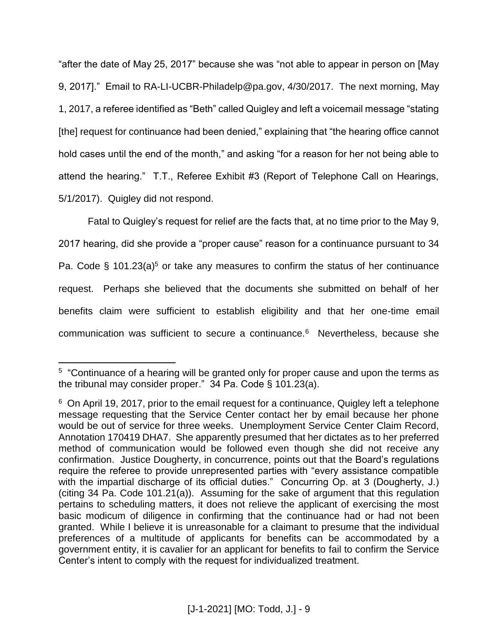"after the date of May 25, 2017" because she was "not able to appear in person on [May 9, 2017]." Email to RA-LI-UCBR-Philadelp@pa.gov, 4/30/2017. The next morning, May 1, 2017, a referee identified as "Beth" called Quigley and left a voicemail message "stating [the] request for continuance had been denied," explaining that "the hearing office cannot hold cases until the end of the month," and asking "for a reason for her not being able to attend the hearing." T.T., Referee Exhibit #3 (Report of Telephone Call on Hearings, 5/1/2017). Quigley did not respond.

Fatal to Quigley's request for relief are the facts that, at no time prior to the May 9, 2017 hearing, did she provide a "proper cause" reason for a continuance pursuant to 34 Pa. Code § 101.23(a)<sup>5</sup> or take any measures to confirm the status of her continuance request. Perhaps she believed that the documents she submitted on behalf of her benefits claim were sufficient to establish eligibility and that her one-time email communication was sufficient to secure a continuance.<sup>6</sup> Nevertheless, because she

 $\overline{a}$ 

<sup>&</sup>lt;sup>5</sup> "Continuance of a hearing will be granted only for proper cause and upon the terms as the tribunal may consider proper." 34 Pa. Code § 101.23(a).

<sup>&</sup>lt;sup>6</sup> On April 19, 2017, prior to the email request for a continuance, Quigley left a telephone message requesting that the Service Center contact her by email because her phone would be out of service for three weeks. Unemployment Service Center Claim Record, Annotation 170419 DHA7. She apparently presumed that her dictates as to her preferred method of communication would be followed even though she did not receive any confirmation. Justice Dougherty, in concurrence, points out that the Board's regulations require the referee to provide unrepresented parties with "every assistance compatible with the impartial discharge of its official duties." Concurring Op. at 3 (Dougherty, J.) (citing 34 Pa. Code 101.21(a)). Assuming for the sake of argument that this regulation pertains to scheduling matters, it does not relieve the applicant of exercising the most basic modicum of diligence in confirming that the continuance had or had not been granted. While I believe it is unreasonable for a claimant to presume that the individual preferences of a multitude of applicants for benefits can be accommodated by a government entity, it is cavalier for an applicant for benefits to fail to confirm the Service Center's intent to comply with the request for individualized treatment.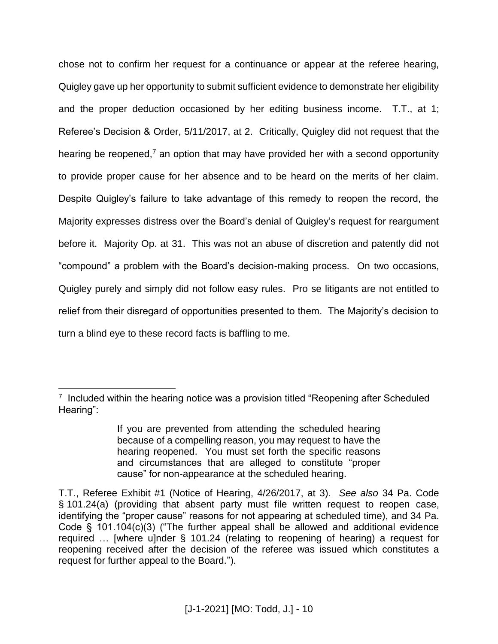chose not to confirm her request for a continuance or appear at the referee hearing, Quigley gave up her opportunity to submit sufficient evidence to demonstrate her eligibility and the proper deduction occasioned by her editing business income. T.T., at 1; Referee's Decision & Order, 5/11/2017, at 2. Critically, Quigley did not request that the hearing be reopened,<sup> $7$ </sup> an option that may have provided her with a second opportunity to provide proper cause for her absence and to be heard on the merits of her claim. Despite Quigley's failure to take advantage of this remedy to reopen the record, the Majority expresses distress over the Board's denial of Quigley's request for reargument before it. Majority Op. at 31. This was not an abuse of discretion and patently did not "compound" a problem with the Board's decision-making process. On two occasions, Quigley purely and simply did not follow easy rules. Pro se litigants are not entitled to relief from their disregard of opportunities presented to them. The Majority's decision to turn a blind eye to these record facts is baffling to me.

 $\overline{a}$ 

 $7$  Included within the hearing notice was a provision titled "Reopening after Scheduled Hearing":

If you are prevented from attending the scheduled hearing because of a compelling reason, you may request to have the hearing reopened. You must set forth the specific reasons and circumstances that are alleged to constitute "proper cause" for non-appearance at the scheduled hearing.

T.T., Referee Exhibit #1 (Notice of Hearing, 4/26/2017, at 3). *See also* 34 Pa. Code § 101.24(a) (providing that absent party must file written request to reopen case, identifying the "proper cause" reasons for not appearing at scheduled time), and 34 Pa. Code § 101.104(c)(3) ("The further appeal shall be allowed and additional evidence required … [where u]nder § 101.24 (relating to reopening of hearing) a request for reopening received after the decision of the referee was issued which constitutes a request for further appeal to the Board.").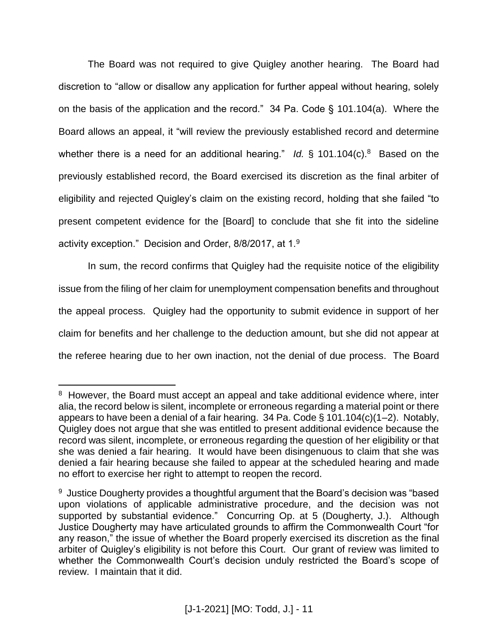The Board was not required to give Quigley another hearing. The Board had discretion to "allow or disallow any application for further appeal without hearing, solely on the basis of the application and the record." 34 Pa. Code § 101.104(a). Where the Board allows an appeal, it "will review the previously established record and determine whether there is a need for an additional hearing." *Id.* § 101.104(c).<sup>8</sup> Based on the previously established record, the Board exercised its discretion as the final arbiter of eligibility and rejected Quigley's claim on the existing record, holding that she failed "to present competent evidence for the [Board] to conclude that she fit into the sideline activity exception." Decision and Order, 8/8/2017, at 1.<sup>9</sup>

In sum, the record confirms that Quigley had the requisite notice of the eligibility issue from the filing of her claim for unemployment compensation benefits and throughout the appeal process. Quigley had the opportunity to submit evidence in support of her claim for benefits and her challenge to the deduction amount, but she did not appear at the referee hearing due to her own inaction, not the denial of due process. The Board

 $\overline{a}$ 

<sup>&</sup>lt;sup>8</sup> However, the Board must accept an appeal and take additional evidence where, inter alia, the record below is silent, incomplete or erroneous regarding a material point or there appears to have been a denial of a fair hearing. 34 Pa. Code § 101.104(c)(1–2). Notably, Quigley does not argue that she was entitled to present additional evidence because the record was silent, incomplete, or erroneous regarding the question of her eligibility or that she was denied a fair hearing. It would have been disingenuous to claim that she was denied a fair hearing because she failed to appear at the scheduled hearing and made no effort to exercise her right to attempt to reopen the record.

<sup>&</sup>lt;sup>9</sup> Justice Dougherty provides a thoughtful argument that the Board's decision was "based upon violations of applicable administrative procedure, and the decision was not supported by substantial evidence." Concurring Op. at 5 (Dougherty, J.). Although Justice Dougherty may have articulated grounds to affirm the Commonwealth Court "for any reason," the issue of whether the Board properly exercised its discretion as the final arbiter of Quigley's eligibility is not before this Court. Our grant of review was limited to whether the Commonwealth Court's decision unduly restricted the Board's scope of review. I maintain that it did.